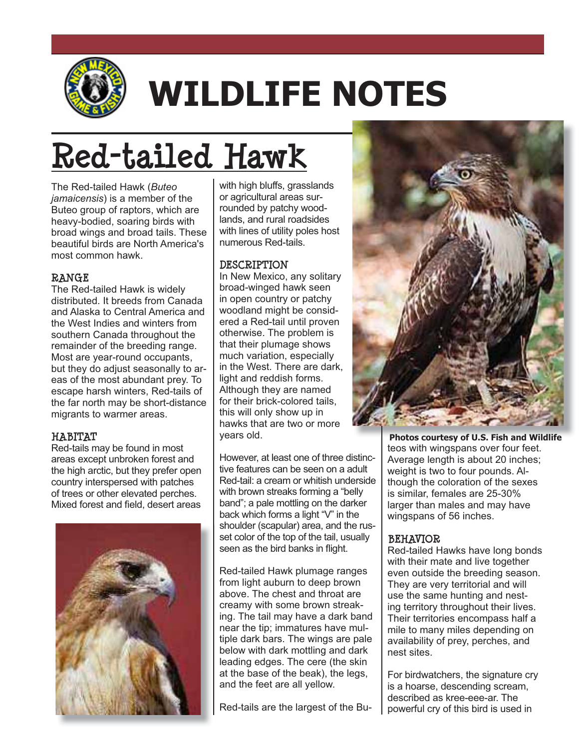

# **WILDLIFE NOTES**

# **Red-tailed Hawk**

The Red-tailed Hawk (*Buteo jamaicensis*) is a member of the Buteo group of raptors, which are heavy-bodied, soaring birds with broad wings and broad tails. These beautiful birds are North America's most common hawk.

#### **RANGE**

The Red-tailed Hawk is widely distributed. It breeds from Canada and Alaska to Central America and the West Indies and winters from southern Canada throughout the remainder of the breeding range. Most are year-round occupants, but they do adjust seasonally to areas of the most abundant prey. To escape harsh winters, Red-tails of the far north may be short-distance migrants to warmer areas.

#### **HABITAT**

Red-tails may be found in most areas except unbroken forest and the high arctic, but they prefer open country interspersed with patches of trees or other elevated perches. Mixed forest and field, desert areas



with high bluffs, grasslands or agricultural areas surrounded by patchy woodlands, and rural roadsides with lines of utility poles host numerous Red-tails.

#### **DESCRIPTION**

In New Mexico, any solitary broad-winged hawk seen in open country or patchy woodland might be considered a Red-tail until proven otherwise. The problem is that their plumage shows much variation, especially in the West. There are dark, light and reddish forms. Although they are named for their brick-colored tails, this will only show up in hawks that are two or more years old.

However, at least one of three distinctive features can be seen on a adult Red-tail: a cream or whitish underside with brown streaks forming a "belly band"; a pale mottling on the darker back which forms a light "V" in the shoulder (scapular) area, and the russet color of the top of the tail, usually seen as the bird banks in flight.

Red-tailed Hawk plumage ranges from light auburn to deep brown above. The chest and throat are creamy with some brown streaking. The tail may have a dark band near the tip; immatures have multiple dark bars. The wings are pale below with dark mottling and dark leading edges. The cere (the skin at the base of the beak), the legs, and the feet are all yellow.

Red-tails are the largest of the Bu-



teos with wingspans over four feet. Average length is about 20 inches; weight is two to four pounds. Although the coloration of the sexes is similar, females are 25-30% larger than males and may have wingspans of 56 inches. **Photos courtesy of U.S. Fish and Wildlife**

# **BEHAVIOR**

Red-tailed Hawks have long bonds with their mate and live together even outside the breeding season. They are very territorial and will use the same hunting and nesting territory throughout their lives. Their territories encompass half a mile to many miles depending on availability of prey, perches, and nest sites.

For birdwatchers, the signature cry is a hoarse, descending scream, described as kree-eee-ar. The powerful cry of this bird is used in